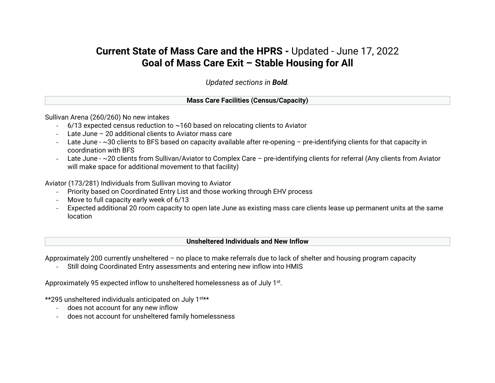# **Current State of Mass Care and the HPRS -** Updated - June 17, 2022 **Goal of Mass Care Exit – Stable Housing for All**

*Updated sections in Bold.*

**Mass Care Facilities (Census/Capacity)**

Sullivan Arena (260/260) No new intakes

- $-$  6/13 expected census reduction to  $\sim$  160 based on relocating clients to Aviator
- Late June 20 additional clients to Aviator mass care
- Late June ~30 clients to BFS based on capacity available after re-opening pre-identifying clients for that capacity in coordination with BFS
- Late June ~20 clients from Sullivan/Aviator to Complex Care pre-identifying clients for referral (Any clients from Aviator will make space for additional movement to that facility)

Aviator (173/281) Individuals from Sullivan moving to Aviator

- Priority based on Coordinated Entry List and those working through EHV process
- Move to full capacity early week of 6/13
- Expected additional 20 room capacity to open late June as existing mass care clients lease up permanent units at the same location

#### **Unsheltered Individuals and New Inflow**

Approximately 200 currently unsheltered – no place to make referrals due to lack of shelter and housing program capacity

- Still doing Coordinated Entry assessments and entering new inflow into HMIS

Approximately 95 expected inflow to unsheltered homelessness as of July 1st.

\*\*295 unsheltered individuals anticipated on July 1st\*\*

- does not account for any new inflow
- does not account for unsheltered family homelessness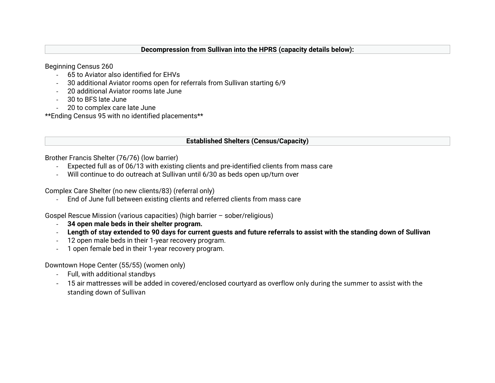#### **Decompression from Sullivan into the HPRS (capacity details below):**

Beginning Census 260

- 65 to Aviator also identified for EHVs
- 30 additional Aviator rooms open for referrals from Sullivan starting 6/9
- 20 additional Aviator rooms late June
- 30 to BFS late June
- 20 to complex care late June

\*\*Ending Census 95 with no identified placements\*\*

## **Established Shelters (Census/Capacity)**

Brother Francis Shelter (76/76) (low barrier)

- Expected full as of 06/13 with existing clients and pre-identified clients from mass care
- Will continue to do outreach at Sullivan until 6/30 as beds open up/turn over

Complex Care Shelter (no new clients/83) (referral only)

- End of June full between existing clients and referred clients from mass care

Gospel Rescue Mission (various capacities) (high barrier – sober/religious)

- **34 open male beds in their shelter program.**
- **Length of stay extended to 90 days for current guests and future referrals to assist with the standing down of Sullivan**
- 12 open male beds in their 1-year recovery program.
- 1 open female bed in their 1-year recovery program.

Downtown Hope Center (55/55) (women only)

- Full, with additional standbys
- 15 air mattresses will be added in covered/enclosed courtyard as overflow only during the summer to assist with the standing down of Sullivan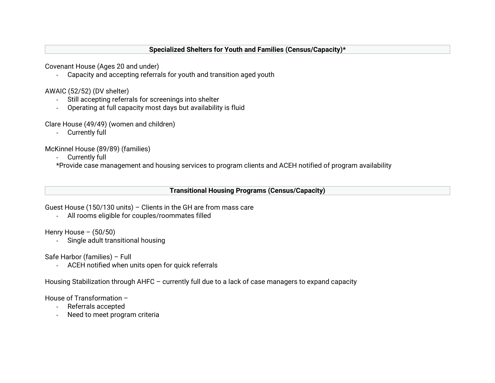#### **Specialized Shelters for Youth and Families (Census/Capacity)\***

Covenant House (Ages 20 and under)

- Capacity and accepting referrals for youth and transition aged youth

AWAIC (52/52) (DV shelter)

- Still accepting referrals for screenings into shelter
- Operating at full capacity most days but availability is fluid

Clare House (49/49) (women and children)

- Currently full

McKinnel House (89/89) (families)

- Currently full

\*Provide case management and housing services to program clients and ACEH notified of program availability

#### **Transitional Housing Programs (Census/Capacity)**

Guest House (150/130 units) – Clients in the GH are from mass care

- All rooms eligible for couples/roommates filled

Henry House  $-$  (50/50)

- Single adult transitional housing

Safe Harbor (families) – Full

- ACEH notified when units open for quick referrals

Housing Stabilization through AHFC – currently full due to a lack of case managers to expand capacity

House of Transformation –

- Referrals accepted
- Need to meet program criteria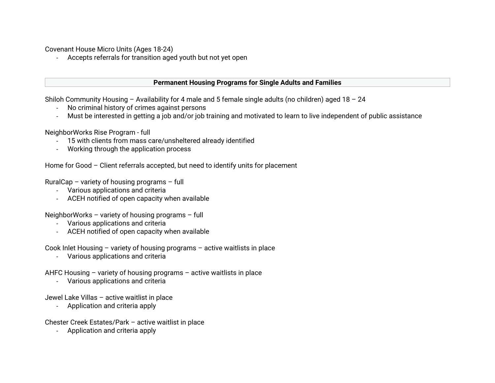Covenant House Micro Units (Ages 18-24)

- Accepts referrals for transition aged youth but not yet open

#### **Permanent Housing Programs for Single Adults and Families**

Shiloh Community Housing – Availability for 4 male and 5 female single adults (no children) aged 18 – 24

- No criminal history of crimes against persons
- Must be interested in getting a job and/or job training and motivated to learn to live independent of public assistance

NeighborWorks Rise Program - full

- 15 with clients from mass care/unsheltered already identified
- Working through the application process

Home for Good – Client referrals accepted, but need to identify units for placement

RuralCap – variety of housing programs – full

- Various applications and criteria
- ACEH notified of open capacity when available

NeighborWorks – variety of housing programs – full

- Various applications and criteria
- ACEH notified of open capacity when available

Cook Inlet Housing – variety of housing programs – active waitlists in place

- Various applications and criteria

AHFC Housing – variety of housing programs – active waitlists in place

- Various applications and criteria

Jewel Lake Villas – active waitlist in place

- Application and criteria apply

Chester Creek Estates/Park – active waitlist in place

- Application and criteria apply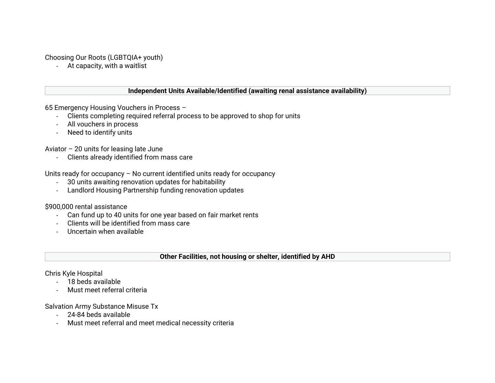Choosing Our Roots (LGBTQIA+ youth)

- At capacity, with a waitlist

#### **Independent Units Available/Identified (awaiting renal assistance availability)**

65 Emergency Housing Vouchers in Process –

- Clients completing required referral process to be approved to shop for units
- All vouchers in process
- Need to identify units

Aviator – 20 units for leasing late June

- Clients already identified from mass care

Units ready for occupancy – No current identified units ready for occupancy

- 30 units awaiting renovation updates for habitability
- Landlord Housing Partnership funding renovation updates

## \$900,000 rental assistance

- Can fund up to 40 units for one year based on fair market rents
- Clients will be identified from mass care
- Uncertain when available

## **Other Facilities, not housing or shelter, identified by AHD**

## Chris Kyle Hospital

- 18 beds available
- Must meet referral criteria

# Salvation Army Substance Misuse Tx

- 24-84 beds available
- Must meet referral and meet medical necessity criteria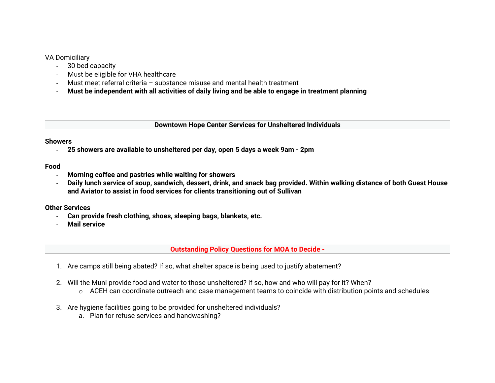## VA Domiciliary

- 30 bed capacity
- Must be eligible for VHA healthcare
- Must meet referral criteria substance misuse and mental health treatment
- **Must be independent with all activities of daily living and be able to engage in treatment planning**

**Downtown Hope Center Services for Unsheltered Individuals**

#### **Showers**

- **25 showers are available to unsheltered per day, open 5 days a week 9am - 2pm**

## **Food**

- **Morning coffee and pastries while waiting for showers**
- **Daily lunch service of soup, sandwich, dessert, drink, and snack bag provided. Within walking distance of both Guest House and Aviator to assist in food services for clients transitioning out of Sullivan**

## **Other Services**

- **Can provide fresh clothing, shoes, sleeping bags, blankets, etc.**
- **Mail service**

**Outstanding Policy Questions for MOA to Decide -**

- 1. Are camps still being abated? If so, what shelter space is being used to justify abatement?
- 2. Will the Muni provide food and water to those unsheltered? If so, how and who will pay for it? When?
	- $\circ$  ACEH can coordinate outreach and case management teams to coincide with distribution points and schedules
- 3. Are hygiene facilities going to be provided for unsheltered individuals?
	- a. Plan for refuse services and handwashing?